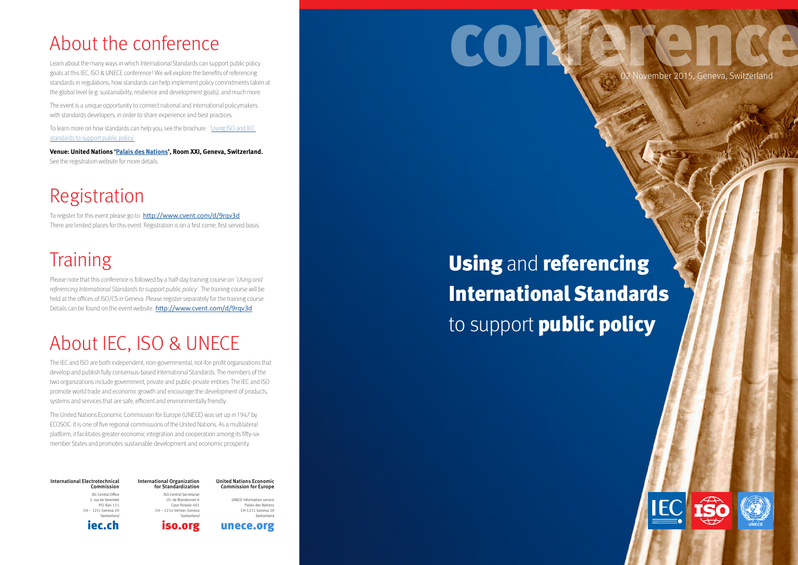02 November 2015, Geneva, Switzerland







### International Electrotechnical Commission IEC Central Office 3, rue de Varembé P.O. Box 131 CH – 1211 Geneva 20

Switzerland [iec.ch](www.iec.ch)

### International Organization for Standardization ISO Central Secretariat United Nations Economic

Ch. de Blandonnet 8 Case Postale 401 CH – 1214 Vernier, Geneva Switzerland

[iso.org](http://www.iso.org)

Commission for Europe UNECE Information service Palais des Nations CH-1211 Geneva 10



## About the conference

To register for this event please go to: <http://www.cvent.com/d/9rqv3d> There are limited places for this event. Registration is on a first come, first served basis.

Learn about the many ways in which International Standards can support public policy goals at this IEC, ISO & UNECE conference! We will explore the benefits of referencing standards in regulations, how standards can help implement policy commitments taken at the global level (e.g. sustainability, resilience and development goals), and much more.

## **Training**

Please note that this conference is followed by a half-day training course on 'Using and referencing International Standards to support public policy'. The training course will be held at the offices of ISO/CS in Geneva. Please register separately for the training course. Details can be found on the event website: <http://www.cvent.com/d/9rqv3d>

The event is a unique opportunity to connect national and international policymakers with standards developers, in order to share experience and best practices.

To learn more on how standards can help you, see the brochure: ['Using ISO and IEC](http://www.iso.org/iso/PUB100358.pdf)  [standards to support public policy'](http://www.iso.org/iso/PUB100358.pdf).

**Venue: United Nations '[Palais des Nations](https://www.google.ch/maps/place/Palace+of+Nations/@46.2266053,6.1404813,15z/data=!4m2!3m1!1s0x0:0xbaabef97619cd473)', Room XXI, Geneva, Switzerland.**  See the registration website for more details.

# CONFERENCE

## Registration

### **Using** and **referenci**ng<br>**International International** to support **public policy Using and referencing** International Standards

## About IEC, ISO & UNECE

The IEC and ISO are both independent, non-governmental, not-for-profit organizations that develop and publish fully consensus-based International Standards. The members of the two organizations include government, private and public-private entities. The IEC and ISO promote world trade and economic growth and encourage the development of products, systems and services that are safe, efficient and environmentally friendly.

The United Nations Economic Commission for Europe (UNECE) was set up in 1947 by ECOSOC. It is one of five regional commissions of the United Nations. As a multilateral platform, it facilitates greater economic integration and cooperation among its fifty-six member States and promotes sustainable development and economic prosperity.